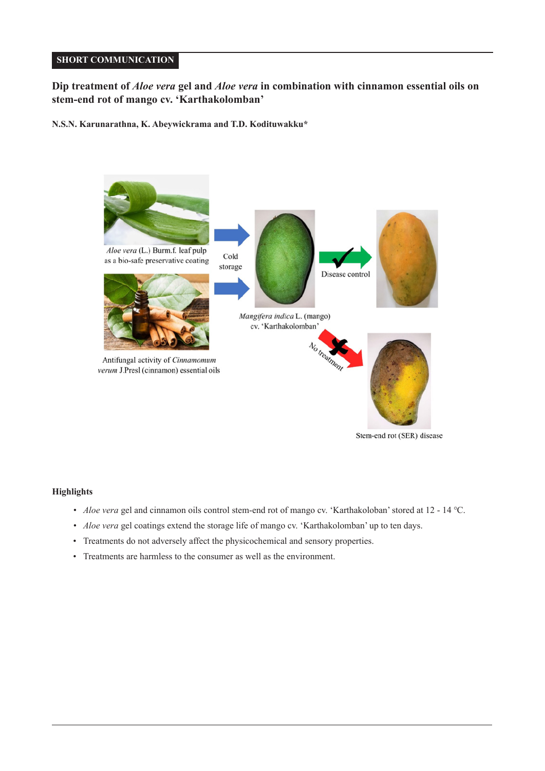# **SHORT COMMUNICATION**

# **Dip treatment of** *Aloe vera* **gel and** *Aloe vera* **in combination with cinnamon essential oils on stem-end rot of mango cv. 'Karthakolomban'**

**N.S.N. Karunarathna, K. Abeywickrama and T.D. Kodituwakku\***



Stem-end rot (SER) disease

### **Highlights**

- *Aloe vera* gel and cinnamon oils control stem-end rot of mango cv. 'Karthakoloban' stored at 12 14 ℃.
- *Aloe vera* gel coatings extend the storage life of mango cv. 'Karthakolomban' up to ten days.
- Treatments do not adversely affect the physicochemical and sensory properties.
- Treatments are harmless to the consumer as well as the environment.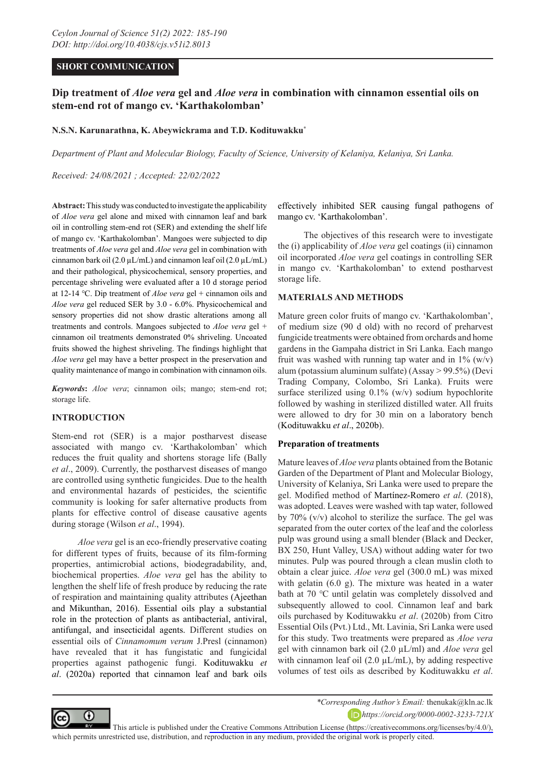## **SHORT COMMUNICATION**

# **Dip treatment of** *Aloe vera* **gel and** *Aloe vera* **in combination with cinnamon essential oils on stem-end rot of mango cv. 'Karthakolomban'**

## **N.S.N. Karunarathna, K. Abeywickrama and T.D. Kodituwakku\***

*Department of Plant and Molecular Biology, Faculty of Science, University of Kelaniya, Kelaniya, Sri Lanka.*

*Received: 24/08/2021 ; Accepted: 22/02/2022*

**Abstract:** This study was conducted to investigate the applicability of *Aloe vera* gel alone and mixed with cinnamon leaf and bark oil in controlling stem-end rot (SER) and extending the shelf life of mango cv. 'Karthakolomban'. Mangoes were subjected to dip treatments of *Aloe vera* gel and *Aloe vera* gel in combination with cinnamon bark oil (2.0  $\mu$ L/mL) and cinnamon leaf oil (2.0  $\mu$ L/mL) and their pathological, physicochemical, sensory properties, and percentage shriveling were evaluated after a 10 d storage period at 12-14 ℃. Dip treatment of *Aloe vera* gel + cinnamon oils and *Aloe vera* gel reduced SER by 3.0 - 6.0%. Physicochemical and sensory properties did not show drastic alterations among all treatments and controls. Mangoes subjected to *Aloe vera* gel + cinnamon oil treatments demonstrated 0% shriveling. Uncoated fruits showed the highest shriveling. The findings highlight that *Aloe vera* gel may have a better prospect in the preservation and quality maintenance of mango in combination with cinnamon oils.

*Keywords***:** *Aloe vera*; cinnamon oils; mango; stem-end rot; storage life.

### **INTRODUCTION**

Stem-end rot (SER) is a major postharvest disease associated with mango cv. 'Karthakolomban' which reduces the fruit quality and shortens storage life (Bally *et al*., 2009). Currently, the postharvest diseases of mango are controlled using synthetic fungicides. Due to the health and environmental hazards of pesticides, the scientific community is looking for safer alternative products from plants for effective control of disease causative agents during storage (Wilson *et al*., 1994).

*Aloe vera* gel is an eco-friendly preservative coating for different types of fruits, because of its film-forming properties, antimicrobial actions, biodegradability, and, biochemical properties. *Aloe vera* gel has the ability to lengthen the shelf life of fresh produce by reducing the rate of respiration and maintaining quality attributes (Ajeethan and Mikunthan, 2016). Essential oils play a substantial role in the protection of plants as antibacterial, antiviral, antifungal, and insecticidal agents. Different studies on essential oils of *Cinnamomum verum* J.Presl (cinnamon) have revealed that it has fungistatic and fungicidal properties against pathogenic fungi. Kodituwakku *et al*. (2020a) reported that cinnamon leaf and bark oils

effectively inhibited SER causing fungal pathogens of mango cv. 'Karthakolomban'.

The objectives of this research were to investigate the (i) applicability of *Aloe vera* gel coatings (ii) cinnamon oil incorporated *Aloe vera* gel coatings in controlling SER in mango cv. 'Karthakolomban' to extend postharvest storage life.

#### **MATERIALS AND METHODS**

Mature green color fruits of mango cv. 'Karthakolomban', of medium size (90 d old) with no record of preharvest fungicide treatments were obtained from orchards and home gardens in the Gampaha district in Sri Lanka. Each mango fruit was washed with running tap water and in  $1\%$  (w/v) alum (potassium aluminum sulfate) (Assay > 99.5%) (Devi Trading Company, Colombo, Sri Lanka). Fruits were surface sterilized using 0.1% (w/v) sodium hypochlorite followed by washing in sterilized distilled water. All fruits were allowed to dry for 30 min on a laboratory bench (Kodituwakku *et al*., 2020b).

#### **Preparation of treatments**

Mature leaves of *Aloe vera* plants obtained from the Botanic Garden of the Department of Plant and Molecular Biology, University of Kelaniya, Sri Lanka were used to prepare the gel. Modified method of Martínez-Romero *et al*. (2018), was adopted. Leaves were washed with tap water, followed by 70% (v/v) alcohol to sterilize the surface. The gel was separated from the outer cortex of the leaf and the colorless pulp was ground using a small blender (Black and Decker, BX 250, Hunt Valley, USA) without adding water for two minutes. Pulp was poured through a clean muslin cloth to obtain a clear juice. *Aloe vera* gel (300.0 mL) was mixed with gelatin (6.0 g). The mixture was heated in a water bath at 70 ℃ until gelatin was completely dissolved and subsequently allowed to cool. Cinnamon leaf and bark oils purchased by Kodituwakku *et al*. (2020b) from Citro Essential Oils (Pvt.) Ltd., Mt. Lavinia, Sri Lanka were used for this study. Two treatments were prepared as *Aloe vera* gel with cinnamon bark oil (2.0 µL/ml) and *Aloe vera* gel with cinnamon leaf oil  $(2.0 \mu L/mL)$ , by adding respective volumes of test oils as described by Kodituwakku *et al*.



*\*Corresponding Author's Email:* thenukak@kln.ac.lk

*https://orcid.org/0000-0002-3233-721X*

This article is published under [the Creative Commons Attribution License \(https://creativecommons.org/licenses/by/4.0/\),](https://creativecommons.org/licenses/by/4.0/)  which permits unrestricted use, distribution, and reproduction in any medium, provided the original work is properly cited.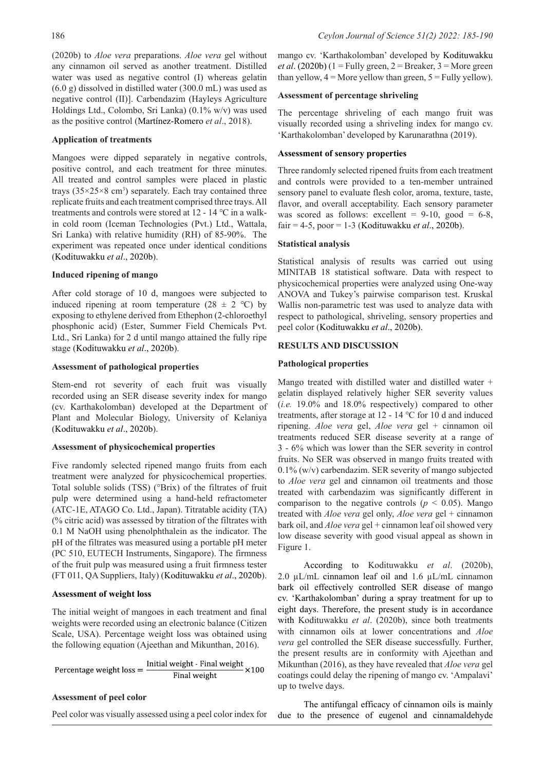(2020b) to *Aloe vera* preparations. *Aloe vera* gel without any cinnamon oil served as another treatment. Distilled water was used as negative control (I) whereas gelatin (6.0 g) dissolved in distilled water (300.0 mL) was used as negative control (II)]. Carbendazim (Hayleys Agriculture Holdings Ltd., Colombo, Sri Lanka) (0.1% w/v) was used as the positive control (Martínez-Romero *et al*., 2018).

#### **Application of treatments**

Mangoes were dipped separately in negative controls, positive control, and each treatment for three minutes. All treated and control samples were placed in plastic trays  $(35\times25\times8 \text{ cm}^3)$  separately. Each tray contained three replicate fruits and each treatment comprised three trays. All treatments and controls were stored at 12 - 14 ℃ in a walkin cold room (Iceman Technologies (Pvt.) Ltd., Wattala, Sri Lanka) with relative humidity (RH) of 85-90%. The experiment was repeated once under identical conditions (Kodituwakku *et al*., 2020b).

## **Induced ripening of mango**

After cold storage of 10 d, mangoes were subjected to induced ripening at room temperature (28  $\pm$  2 °C) by exposing to ethylene derived from Ethephon (2-chloroethyl phosphonic acid) (Ester, Summer Field Chemicals Pvt. Ltd., Sri Lanka) for 2 d until mango attained the fully ripe stage (Kodituwakku *et al*., 2020b).

### **Assessment of pathological properties**

Stem-end rot severity of each fruit was visually recorded using an SER disease severity index for mango (cv. Karthakolomban) developed at the Department of Plant and Molecular Biology, University of Kelaniya (Kodituwakku *et al*., 2020b).

## **Assessment of physicochemical properties**

Five randomly selected ripened mango fruits from each treatment were analyzed for physicochemical properties. Total soluble solids (TSS) (°Brix) of the filtrates of fruit pulp were determined using a hand-held refractometer (ATC-1E, ATAGO Co. Ltd., Japan). Titratable acidity (TA) (% citric acid) was assessed by titration of the filtrates with 0.1 M NaOH using phenolphthalein as the indicator. The pH of the filtrates was measured using a portable pH meter (PC 510, EUTECH Instruments, Singapore). The firmness of the fruit pulp was measured using a fruit firmness tester (FT 011, QA Suppliers, Italy) (Kodituwakku *et al*., 2020b).

#### **Assessment of weight loss**

The initial weight of mangoes in each treatment and final weights were recorded using an electronic balance (Citizen Scale, USA). Percentage weight loss was obtained using the following equation (Ajeethan and Mikunthan, 2016).

Percentage weight loss = 
$$
\frac{\text{Initial weight - Final weight}}{\text{Final weight}} \times 100
$$

## **Assessment of peel color**

Peel color was visually assessed using a peel color index for

mango cv. 'Karthakolomban' developed by Kodituwakku *et al.* (2020b) (1 = Fully green, 2 = Breaker,  $3$  = More green than yellow,  $4 =$  More yellow than green,  $5 =$  Fully yellow).

#### **Assessment of percentage shriveling**

The percentage shriveling of each mango fruit was visually recorded using a shriveling index for mango cv. 'Karthakolomban' developed by Karunarathna (2019).

## **Assessment of sensory properties**

Three randomly selected ripened fruits from each treatment and controls were provided to a ten-member untrained sensory panel to evaluate flesh color, aroma, texture, taste, flavor, and overall acceptability. Each sensory parameter was scored as follows: excellent =  $9-10$ , good =  $6-8$ , fair = 4-5, poor = 1-3 (Kodituwakku *et al*., 2020b).

## **Statistical analysis**

Statistical analysis of results was carried out using MINITAB 18 statistical software. Data with respect to physicochemical properties were analyzed using One-way ANOVA and Tukey's pairwise comparison test. Kruskal Wallis non-parametric test was used to analyze data with respect to pathological, shriveling, sensory properties and peel color (Kodituwakku *et al*., 2020b).

## **RESULTS AND DISCUSSION**

#### **Pathological properties**

Mango treated with distilled water and distilled water + gelatin displayed relatively higher SER severity values (*i.e.* 19.0% and 18.0% respectively) compared to other treatments, after storage at 12 - 14 ℃ for 10 d and induced ripening. *Aloe vera* gel, *Aloe vera* gel + cinnamon oil treatments reduced SER disease severity at a range of 3 - 6% which was lower than the SER severity in control fruits. No SER was observed in mango fruits treated with 0.1% (w/v) carbendazim. SER severity of mango subjected to *Aloe vera* gel and cinnamon oil treatments and those treated with carbendazim was significantly different in comparison to the negative controls ( $p < 0.05$ ). Mango treated with *Aloe vera* gel only, *Aloe vera* gel + cinnamon bark oil, and *Aloe vera* gel + cinnamon leaf oil showed very low disease severity with good visual appeal as shown in Figure 1.

According to Kodituwakku *et al*. (2020b), 2.0 µL/mL cinnamon leaf oil and 1.6 µL/mL cinnamon bark oil effectively controlled SER disease of mango cv. 'Karthakolomban' during a spray treatment for up to eight days. Therefore, the present study is in accordance with Kodituwakku *et al*. (2020b), since both treatments with cinnamon oils at lower concentrations and *Aloe vera* gel controlled the SER disease successfully. Further, the present results are in conformity with Ajeethan and Mikunthan (2016), as they have revealed that *Aloe vera* gel coatings could delay the ripening of mango cv. 'Ampalavi' up to twelve days.

The antifungal efficacy of cinnamon oils is mainly due to the presence of eugenol and cinnamaldehyde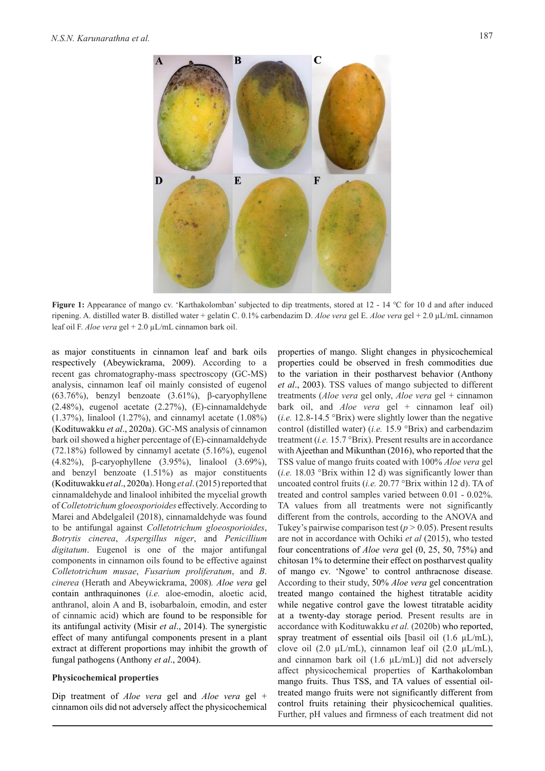

**Figure 1:** Appearance of mango cv. 'Karthakolomban' subjected to dip treatments, stored at 12 - 14 ℃ for 10 d and after induced ripening. A. distilled water B. distilled water + gelatin C. 0.1% carbendazim D. *Aloe vera* gel E. *Aloe vera* gel + 2.0 µL/mL cinnamon leaf oil F. *Aloe vera* gel + 2.0 µL/mL cinnamon bark oil.

as major constituents in cinnamon leaf and bark oils respectively (Abeywickrama, 2009). According to a recent gas chromatography-mass spectroscopy (GC-MS) analysis, cinnamon leaf oil mainly consisted of eugenol (63.76%), benzyl benzoate (3.61%), β-caryophyllene (2.48%), eugenol acetate (2.27%), (E)-cinnamaldehyde (1.37%), linalool (1.27%), and cinnamyl acetate (1.08%) (Kodituwakku *et al*., 2020a). GC-MS analysis of cinnamon bark oil showed a higher percentage of (E)-cinnamaldehyde (72.18%) followed by cinnamyl acetate (5.16%), eugenol (4.82%), β-caryophyllene (3.95%), linalool (3.69%), and benzyl benzoate (1.51%) as major constituents (Kodituwakku *et al*., 2020a). Hong *et al*. (2015) reported that cinnamaldehyde and linalool inhibited the mycelial growth of *Colletotrichum gloeosporioides* effectively. According to Marei and Abdelgaleil (2018), cinnamaldehyde was found to be antifungal against *Colletotrichum gloeosporioides*, *Botrytis cinerea*, *Aspergillus niger*, and *Penicillium digitatum*. Eugenol is one of the major antifungal components in cinnamon oils found to be effective against *Colletotrichum musae*, *Fusarium proliferatum*, and *B*. *cinerea* (Herath and Abeywickrama, 2008)*. Aloe vera* gel contain anthraquinones (*i.e.* aloe-emodin, aloetic acid, anthranol, aloin A and B, isobarbaloin, emodin, and ester of cinnamic acid) which are found to be responsible for its antifungal activity (Misir *et al*., 2014). The synergistic effect of many antifungal components present in a plant extract at different proportions may inhibit the growth of fungal pathogens (Anthony *et al*., 2004).

## **Physicochemical properties**

Dip treatment of *Aloe vera* gel and *Aloe vera* gel + cinnamon oils did not adversely affect the physicochemical

properties of mango. Slight changes in physicochemical properties could be observed in fresh commodities due to the variation in their postharvest behavior (Anthony *et al*., 2003). TSS values of mango subjected to different treatments (*Aloe vera* gel only, *Aloe vera* gel + cinnamon bark oil, and *Aloe vera* gel + cinnamon leaf oil) (*ⅰ.e.* 12.8-14.5 °Brix) were slightly lower than the negative control (distilled water) (*ⅰ.e.* 15.9 °Brix) and carbendazim treatment (*i.e.* 15.7 °Brix). Present results are in accordance with Ajeethan and Mikunthan (2016), who reported that the TSS value of mango fruits coated with 100% *Aloe vera* gel  $(i.e. 18.03$  °Brix within 12 d) was significantly lower than uncoated control fruits (*ⅰ.e.* 20.77 °Brix within 12 d). TA of treated and control samples varied between 0.01 - 0.02%. TA values from all treatments were not significantly different from the controls, according to the ANOVA and Tukey's pairwise comparison test (*p >* 0.05). Present results are not in accordance with Ochiki *et al* (2015), who tested four concentrations of *Aloe vera* gel (0, 25, 50, 75%) and chitosan 1% to determine their effect on postharvest quality of mango cv. 'Ngowe' to control anthracnose disease. According to their study, 50% *Aloe vera* gel concentration treated mango contained the highest titratable acidity while negative control gave the lowest titratable acidity at a twenty-day storage period. Present results are in accordance with Kodituwakku *et al.* (2020b) who reported, spray treatment of essential oils [basil oil (1.6 µL/mL), clove oil (2.0  $\mu$ L/mL), cinnamon leaf oil (2.0  $\mu$ L/mL), and cinnamon bark oil  $(1.6 \mu L/mL)$ ] did not adversely affect physicochemical properties of Karthakolomban mango fruits. Thus TSS, and TA values of essential oiltreated mango fruits were not significantly different from control fruits retaining their physicochemical qualities. Further, pH values and firmness of each treatment did not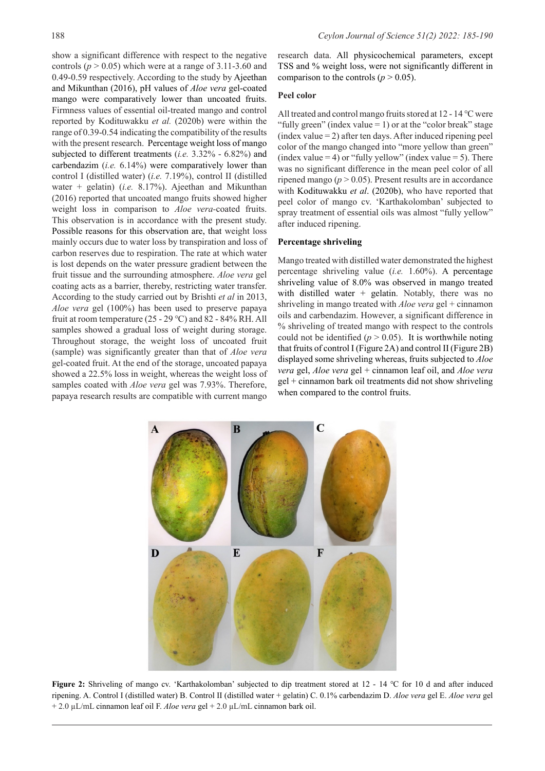show a significant difference with respect to the negative controls ( $p > 0.05$ ) which were at a range of 3.11-3.60 and 0.49-0.59 respectively. According to the study by Ajeethan and Mikunthan (2016), pH values of *Aloe vera* gel-coated mango were comparatively lower than uncoated fruits. Firmness values of essential oil-treated mango and control reported by Kodituwakku *et al.* (2020b) were within the range of 0.39-0.54 indicating the compatibility of the results with the present research. Percentage weight loss of mango subjected to different treatments (*ⅰ.e.* 3.32% - 6.82%) and carbendazim (*i.e.* 6.14%) were comparatively lower than control I (distilled water) (*ⅰ.e.* 7.19%), control II (distilled water + gelatin) (*i.e.* 8.17%). Ajeethan and Mikunthan (2016) reported that uncoated mango fruits showed higher weight loss in comparison to *Aloe vera-*coated fruits. This observation is in accordance with the present study. Possible reasons for this observation are, that weight loss mainly occurs due to water loss by transpiration and loss of carbon reserves due to respiration. The rate at which water is lost depends on the water pressure gradient between the fruit tissue and the surrounding atmosphere. *Aloe vera* gel coating acts as a barrier, thereby, restricting water transfer. According to the study carried out by Brishti *et al* in 2013, *Aloe vera* gel (100%) has been used to preserve papaya fruit at room temperature (25 - 29 °C) and 82 - 84% RH. All samples showed a gradual loss of weight during storage. Throughout storage, the weight loss of uncoated fruit (sample) was significantly greater than that of *Aloe vera* gel-coated fruit. At the end of the storage, uncoated papaya showed a 22.5% loss in weight, whereas the weight loss of samples coated with *Aloe vera* gel was 7.93%. Therefore, papaya research results are compatible with current mango

research data. All physicochemical parameters, except TSS and % weight loss, were not significantly different in comparison to the controls ( $p > 0.05$ ).

## **Peel color**

All treated and control mango fruits stored at 12 - 14 ℃ were "fully green" (index value  $= 1$ ) or at the "color break" stage  $(index value = 2)$  after ten days. After induced ripening peel color of the mango changed into "more yellow than green" (index value  $= 4$ ) or "fully yellow" (index value  $= 5$ ). There was no significant difference in the mean peel color of all ripened mango ( $p > 0.05$ ). Present results are in accordance with Kodituwakku *et al*. (2020b), who have reported that peel color of mango cv. 'Karthakolomban' subjected to spray treatment of essential oils was almost "fully yellow" after induced ripening.

### **Percentage shriveling**

Mango treated with distilled water demonstrated the highest percentage shriveling value (*i.e.* 1.60%). A percentage shriveling value of 8.0% was observed in mango treated with distilled water + gelatin. Notably, there was no shriveling in mango treated with *Aloe vera* gel + cinnamon oils and carbendazim. However, a significant difference in % shriveling of treated mango with respect to the controls could not be identified ( $p > 0.05$ ). It is worthwhile noting that fruits of control I (Figure 2A) and control II (Figure 2B) displayed some shriveling whereas, fruits subjected to *Aloe vera* gel, *Aloe vera* gel + cinnamon leaf oil, and *Aloe vera* gel + cinnamon bark oil treatments did not show shriveling when compared to the control fruits.



**Figure 2:** Shriveling of mango cv. 'Karthakolomban' subjected to dip treatment stored at 12 - 14 ℃ for 10 d and after induced ripening. A. Control I (distilled water) B. Control II (distilled water + gelatin) C. 0.1% carbendazim D. *Aloe vera* gel E. *Aloe vera* gel + 2.0 µL/mL cinnamon leaf oil F. *Aloe vera* gel + 2.0 µL/mL cinnamon bark oil.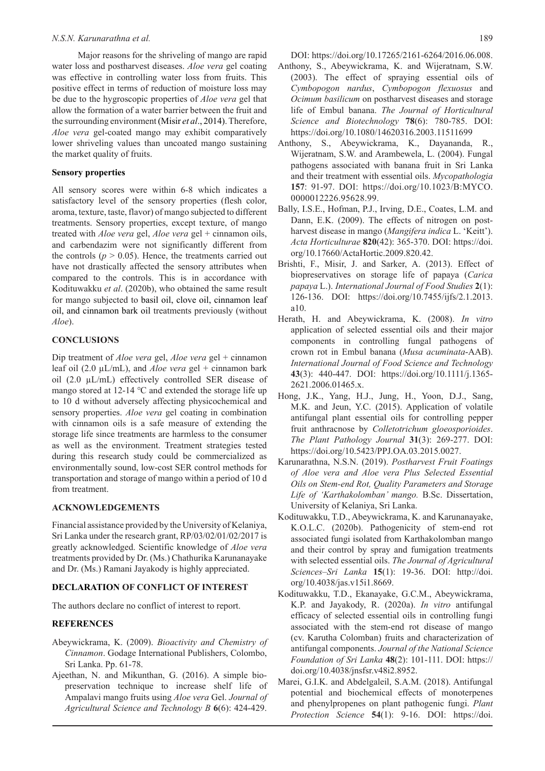Major reasons for the shriveling of mango are rapid water loss and postharvest diseases. *Aloe vera* gel coating was effective in controlling water loss from fruits. This positive effect in terms of reduction of moisture loss may be due to the hygroscopic properties of *Aloe vera* gel that allow the formation of a water barrier between the fruit and the surrounding environment (Misir *et al*., 2014). Therefore, *Aloe vera* gel-coated mango may exhibit comparatively lower shriveling values than uncoated mango sustaining the market quality of fruits.

#### **Sensory properties**

All sensory scores were within 6-8 which indicates a satisfactory level of the sensory properties (flesh color, aroma, texture, taste, flavor) of mango subjected to different treatments. Sensory properties, except texture, of mango treated with *Aloe vera* gel, *Aloe vera* gel + cinnamon oils, and carbendazim were not significantly different from the controls  $(p > 0.05)$ . Hence, the treatments carried out have not drastically affected the sensory attributes when compared to the controls. This is in accordance with Kodituwakku *et al*. (2020b), who obtained the same result for mango subjected to basil oil, clove oil, cinnamon leaf oil, and cinnamon bark oil treatments previously (without *Aloe*).

## **CONCLUSIONS**

Dip treatment of *Aloe vera* gel, *Aloe vera* gel + cinnamon leaf oil (2.0  $\mu$ L/mL), and *Aloe vera* gel + cinnamon bark oil (2.0 µL/mL) effectively controlled SER disease of mango stored at 12-14 ℃ and extended the storage life up to 10 d without adversely affecting physicochemical and sensory properties. *Aloe vera* gel coating in combination with cinnamon oils is a safe measure of extending the storage life since treatments are harmless to the consumer as well as the environment. Treatment strategies tested during this research study could be commercialized as environmentally sound, low-cost SER control methods for transportation and storage of mango within a period of 10 d from treatment.

## **ACKNOWLEDGEMENTS**

Financial assistance provided by the University of Kelaniya, Sri Lanka under the research grant, RP/03/02/01/02/2017 is greatly acknowledged. Scientific knowledge of *Aloe vera* treatments provided by Dr. (Ms.) Chathurika Karunanayake and Dr. (Ms.) Ramani Jayakody is highly appreciated.

#### **DECLARATION OF CONFLICT OF INTEREST**

The authors declare no conflict of interest to report.

#### **REFERENCES**

- Abeywickrama, K. (2009). *Bioactivity and Chemistry of Cinnamon*. Godage International Publishers, Colombo, Sri Lanka. Pp. 61-78.
- Ajeethan, N. and Mikunthan, G. (2016). A simple biopreservation technique to increase shelf life of Ampalavi mango fruits using *Aloe vera* Gel. *Journal of Agricultural Science and Technology B* **6**(6): 424-429.

DOI: <https://doi.org/10.17265/2161-6264/2016.06.008>.

- Anthony, S., Abeywickrama, K. and Wijeratnam, S.W. (2003). The effect of spraying essential oils of *Cymbopogon nardus*, *Cymbopogon flexuosus* and *Ocimum basilicum* on postharvest diseases and storage life of Embul banana. *The Journal of Horticultural Science and Biotechnology* **78**(6): 780-785. DOI: https://doi.org/10.1080/14620316.2003.11511699
- Anthony, S., Abeywickrama, K., Dayananda, R., Wijeratnam, S.W. and Arambewela, L. (2004). Fungal pathogens associated with banana fruit in Sri Lanka and their treatment with essential oils. *Mycopathologia* **157**: 91-97. DOI: [https://doi.org/10.1023/B:MYCO.](https://doi.org/10.1023/B:MYCO.0000012226.95628.99)  [0000012226.95628.99.](https://doi.org/10.1023/B:MYCO.0000012226.95628.99)
- Bally, I.S.E., Hofman, P.J., Irving, D.E., Coates, L.M. and Dann, E.K. (2009). The effects of nitrogen on postharvest disease in mango (*Mangifera indica* L. 'Keitt'). *Acta Horticulturae* **820**(42): 365-370. DOI: [https://doi.](https://doi.org/10.17660/ActaHortic.2009.820.42) [org/10.17660/ActaHortic.2009.820.42.](https://doi.org/10.17660/ActaHortic.2009.820.42)
- Brishti, F., Misir, J. and Sarker, A. (2013). Effect of biopreservatives on storage life of papaya (*Carica papaya* L.). *International Journal of Food Studies* **2**(1): 126-136. DOI: [https://doi.org/10.7455/ijfs/2.1.2013.](https://doi.org/10.7455/ijfs/2.1.2013.a10) [a10](https://doi.org/10.7455/ijfs/2.1.2013.a10).
- Herath, H. and Abeywickrama, K. (2008). *In vitro* application of selected essential oils and their major components in controlling fungal pathogens of crown rot in Embul banana (*Musa acuminata*-AAB). *International Journal of Food Science and Technology* **43**(3): 440-447. DOI: [https://doi.org/10.1111/j.1365-](https://doi.org/10.1111/j.1365-2621.2006.01465.x) [2621.2006.01465.x](https://doi.org/10.1111/j.1365-2621.2006.01465.x).
- Hong, J.K., Yang, H.J., Jung, H., Yoon, D.J., Sang, M.K. and Jeun, Y.C. (2015). Application of volatile antifungal plant essential oils for controlling pepper fruit anthracnose by *Colletotrichum gloeosporioides*. *The Plant Pathology Journal* **31**(3): 269-277. DOI: [https://doi.org/10.5423/PPJ.OA.03.2015.0027.](https://doi.org/10.5423/PPJ.OA.03.2015.0027)
- Karunarathna, N.S.N. (2019). *Postharvest Fruit Foatings of Aloe vera and Aloe vera Plus Selected Essential Oils on Stem-end Rot, Quality Parameters and Storage Life of 'Karthakolomban' mango.* B.Sc. Dissertation, University of Kelaniya, Sri Lanka.
- Kodituwakku, T.D., Abeywickrama, K. and Karunanayake, K.O.L.C. (2020b). Pathogenicity of stem-end rot associated fungi isolated from Karthakolomban mango and their control by spray and fumigation treatments with selected essential oils. *The Journal of Agricultural Sciences–Sri Lanka* **15**(1): 19-36. DOI: [http://doi.](http://doi.org/10.4038/jas.v15i1.8669) [org/10.4038/jas.v15i1.8669.](http://doi.org/10.4038/jas.v15i1.8669)
- Kodituwakku, T.D., Ekanayake, G.C.M., Abeywickrama, K.P. and Jayakody, R. (2020a). *In vitro* antifungal efficacy of selected essential oils in controlling fungi associated with the stem-end rot disease of mango (cv. Karutha Colomban) fruits and characterization of antifungal components. *Journal of the National Science Foundation of Sri Lanka* **48**(2): 101-111. DOI: https:// doi.org[/10.4038/jnsfsr.v48i2.8952.](http://dx.doi.org/10.4038/jnsfsr.v48i2.8952)
- Marei, G.I.K. and Abdelgaleil, S.A.M. (2018). Antifungal potential and biochemical effects of monoterpenes and phenylpropenes on plant pathogenic fungi. *Plant Protection Science* **54**(1): 9-16. DOI: [https://doi.](https://doi.org/10.17221/9/2017-PPS)